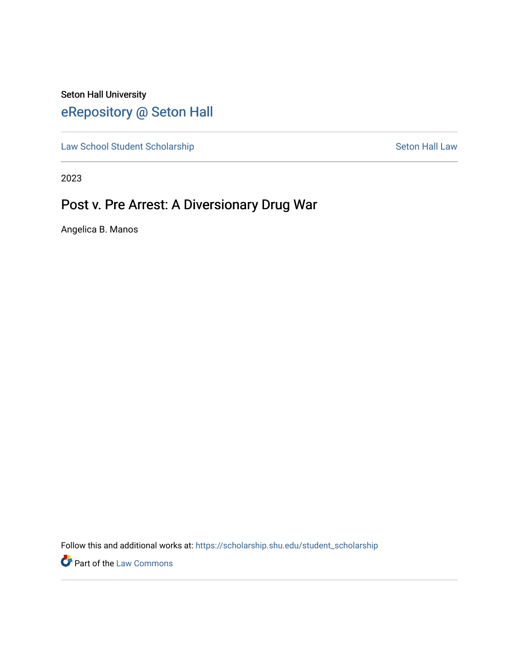# Seton Hall University [eRepository @ Seton Hall](https://scholarship.shu.edu/)

[Law School Student Scholarship](https://scholarship.shu.edu/student_scholarship) Seton Hall Law

2023

# Post v. Pre Arrest: A Diversionary Drug War

Angelica B. Manos

Follow this and additional works at: [https://scholarship.shu.edu/student\\_scholarship](https://scholarship.shu.edu/student_scholarship?utm_source=scholarship.shu.edu%2Fstudent_scholarship%2F1280&utm_medium=PDF&utm_campaign=PDFCoverPages) 

Part of the [Law Commons](http://network.bepress.com/hgg/discipline/578?utm_source=scholarship.shu.edu%2Fstudent_scholarship%2F1280&utm_medium=PDF&utm_campaign=PDFCoverPages)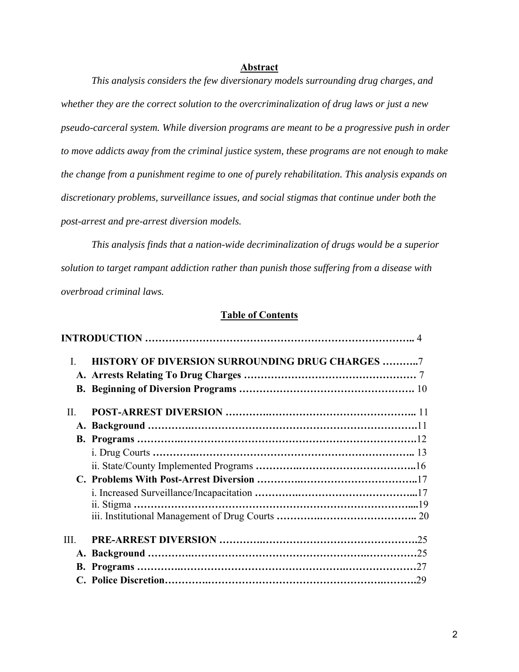# **Abstract**

*This analysis considers the few diversionary models surrounding drug charges, and whether they are the correct solution to the overcriminalization of drug laws or just a new pseudo-carceral system. While diversion programs are meant to be a progressive push in order to move addicts away from the criminal justice system, these programs are not enough to make the change from a punishment regime to one of purely rehabilitation. This analysis expands on discretionary problems, surveillance issues, and social stigmas that continue under both the post-arrest and pre-arrest diversion models.* 

 *This analysis finds that a nation-wide decriminalization of drugs would be a superior solution to target rampant addiction rather than punish those suffering from a disease with overbroad criminal laws.* 

# **Table of Contents**

| I.   | <b>HISTORY OF DIVERSION SURROUNDING DRUG CHARGES 7</b> |  |
|------|--------------------------------------------------------|--|
|      |                                                        |  |
|      |                                                        |  |
| H.   |                                                        |  |
|      |                                                        |  |
|      |                                                        |  |
|      |                                                        |  |
|      |                                                        |  |
|      |                                                        |  |
|      |                                                        |  |
|      |                                                        |  |
|      |                                                        |  |
| III. |                                                        |  |
|      |                                                        |  |
|      |                                                        |  |
|      |                                                        |  |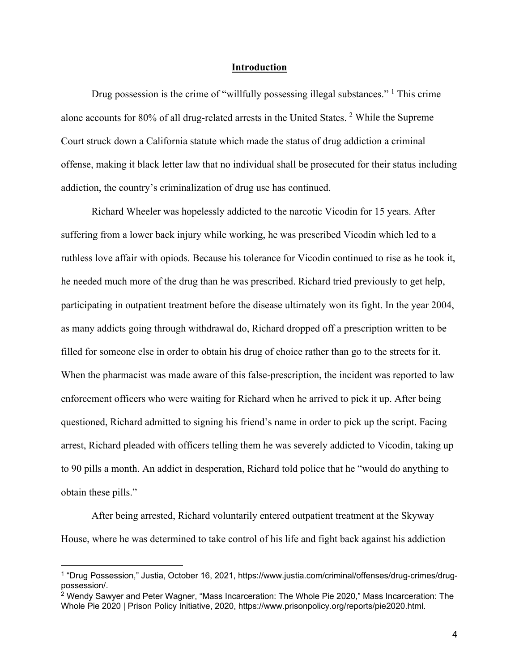## **Introduction**

Drug possession is the crime of "willfully possessing illegal substances." <sup>1</sup> This crime alone accounts for 80% of all drug-related arrests in the United States.<sup>2</sup> While the Supreme Court struck down a California statute which made the status of drug addiction a criminal offense, making it black letter law that no individual shall be prosecuted for their status including addiction, the country's criminalization of drug use has continued.

Richard Wheeler was hopelessly addicted to the narcotic Vicodin for 15 years. After suffering from a lower back injury while working, he was prescribed Vicodin which led to a ruthless love affair with opiods. Because his tolerance for Vicodin continued to rise as he took it, he needed much more of the drug than he was prescribed. Richard tried previously to get help, participating in outpatient treatment before the disease ultimately won its fight. In the year 2004, as many addicts going through withdrawal do, Richard dropped off a prescription written to be filled for someone else in order to obtain his drug of choice rather than go to the streets for it. When the pharmacist was made aware of this false-prescription, the incident was reported to law enforcement officers who were waiting for Richard when he arrived to pick it up. After being questioned, Richard admitted to signing his friend's name in order to pick up the script. Facing arrest, Richard pleaded with officers telling them he was severely addicted to Vicodin, taking up to 90 pills a month. An addict in desperation, Richard told police that he "would do anything to obtain these pills."

After being arrested, Richard voluntarily entered outpatient treatment at the Skyway House, where he was determined to take control of his life and fight back against his addiction

<sup>1 &</sup>quot;Drug Possession," Justia, October 16, 2021, https://www.justia.com/criminal/offenses/drug-crimes/drugpossession/.

<sup>2</sup> Wendy Sawyer and Peter Wagner, "Mass Incarceration: The Whole Pie 2020," Mass Incarceration: The Whole Pie 2020 | Prison Policy Initiative, 2020, https://www.prisonpolicy.org/reports/pie2020.html.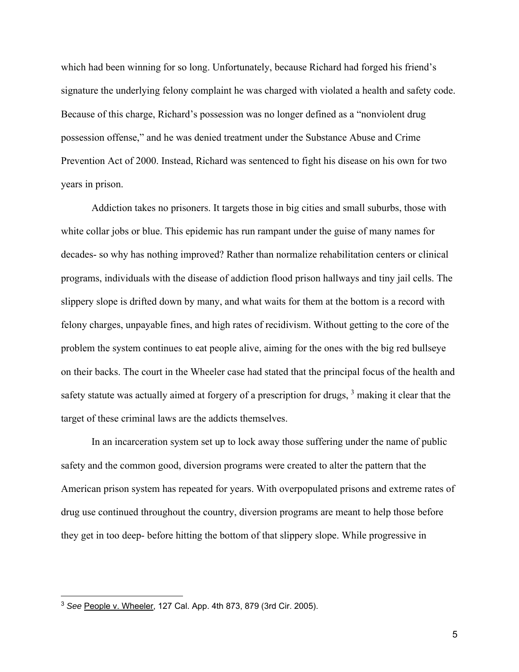which had been winning for so long. Unfortunately, because Richard had forged his friend's signature the underlying felony complaint he was charged with violated a health and safety code. Because of this charge, Richard's possession was no longer defined as a "nonviolent drug possession offense," and he was denied treatment under the Substance Abuse and Crime Prevention Act of 2000. Instead, Richard was sentenced to fight his disease on his own for two years in prison.

Addiction takes no prisoners. It targets those in big cities and small suburbs, those with white collar jobs or blue. This epidemic has run rampant under the guise of many names for decades- so why has nothing improved? Rather than normalize rehabilitation centers or clinical programs, individuals with the disease of addiction flood prison hallways and tiny jail cells. The slippery slope is drifted down by many, and what waits for them at the bottom is a record with felony charges, unpayable fines, and high rates of recidivism. Without getting to the core of the problem the system continues to eat people alive, aiming for the ones with the big red bullseye on their backs. The court in the Wheeler case had stated that the principal focus of the health and safety statute was actually aimed at forgery of a prescription for drugs,  $3$  making it clear that the target of these criminal laws are the addicts themselves.

In an incarceration system set up to lock away those suffering under the name of public safety and the common good, diversion programs were created to alter the pattern that the American prison system has repeated for years. With overpopulated prisons and extreme rates of drug use continued throughout the country, diversion programs are meant to help those before they get in too deep- before hitting the bottom of that slippery slope. While progressive in

<sup>3</sup> *See* People v. Wheeler, 127 Cal. App. 4th 873, 879 (3rd Cir. 2005).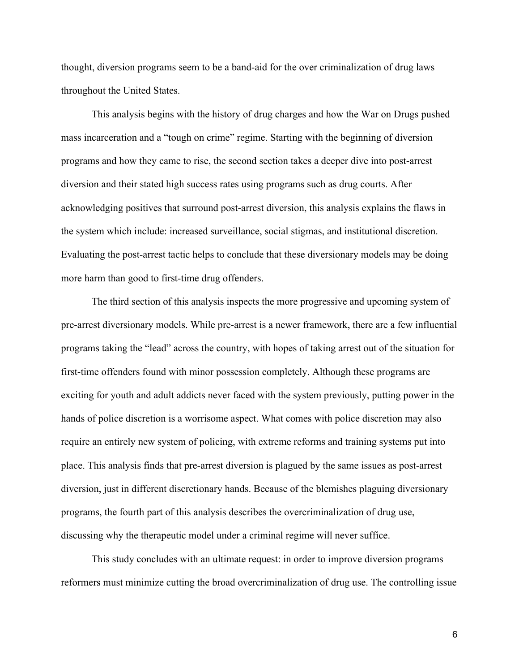thought, diversion programs seem to be a band-aid for the over criminalization of drug laws throughout the United States.

This analysis begins with the history of drug charges and how the War on Drugs pushed mass incarceration and a "tough on crime" regime. Starting with the beginning of diversion programs and how they came to rise, the second section takes a deeper dive into post-arrest diversion and their stated high success rates using programs such as drug courts. After acknowledging positives that surround post-arrest diversion, this analysis explains the flaws in the system which include: increased surveillance, social stigmas, and institutional discretion. Evaluating the post-arrest tactic helps to conclude that these diversionary models may be doing more harm than good to first-time drug offenders.

The third section of this analysis inspects the more progressive and upcoming system of pre-arrest diversionary models. While pre-arrest is a newer framework, there are a few influential programs taking the "lead" across the country, with hopes of taking arrest out of the situation for first-time offenders found with minor possession completely. Although these programs are exciting for youth and adult addicts never faced with the system previously, putting power in the hands of police discretion is a worrisome aspect. What comes with police discretion may also require an entirely new system of policing, with extreme reforms and training systems put into place. This analysis finds that pre-arrest diversion is plagued by the same issues as post-arrest diversion, just in different discretionary hands. Because of the blemishes plaguing diversionary programs, the fourth part of this analysis describes the overcriminalization of drug use, discussing why the therapeutic model under a criminal regime will never suffice.

This study concludes with an ultimate request: in order to improve diversion programs reformers must minimize cutting the broad overcriminalization of drug use. The controlling issue

6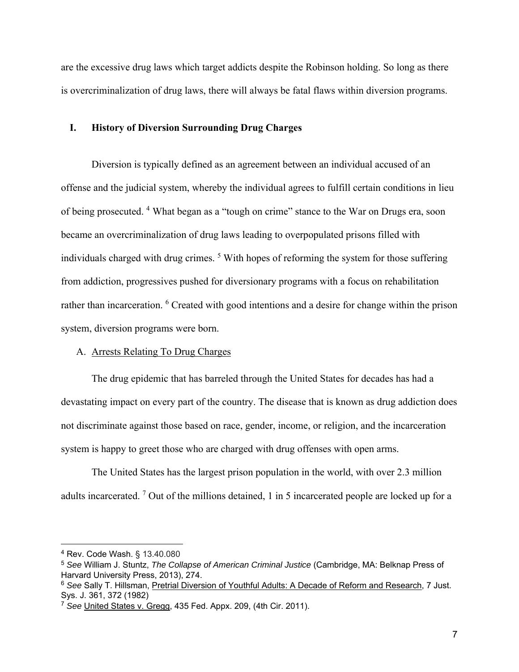are the excessive drug laws which target addicts despite the Robinson holding. So long as there is overcriminalization of drug laws, there will always be fatal flaws within diversion programs.

# **I. History of Diversion Surrounding Drug Charges**

Diversion is typically defined as an agreement between an individual accused of an offense and the judicial system, whereby the individual agrees to fulfill certain conditions in lieu of being prosecuted. <sup>4</sup> What began as a "tough on crime" stance to the War on Drugs era, soon became an overcriminalization of drug laws leading to overpopulated prisons filled with individuals charged with drug crimes.<sup>5</sup> With hopes of reforming the system for those suffering from addiction, progressives pushed for diversionary programs with a focus on rehabilitation rather than incarceration. <sup>6</sup> Created with good intentions and a desire for change within the prison system, diversion programs were born.

## A. Arrests Relating To Drug Charges

The drug epidemic that has barreled through the United States for decades has had a devastating impact on every part of the country. The disease that is known as drug addiction does not discriminate against those based on race, gender, income, or religion, and the incarceration system is happy to greet those who are charged with drug offenses with open arms.

The United States has the largest prison population in the world, with over 2.3 million adults incarcerated.<sup>7</sup> Out of the millions detained, 1 in 5 incarcerated people are locked up for a

<sup>4</sup> Rev. Code Wash. § 13.40.080

<sup>5</sup> *See* William J. Stuntz, *The Collapse of American Criminal Justice* (Cambridge, MA: Belknap Press of Harvard University Press, 2013), 274.

<sup>6</sup> *See* Sally T. Hillsman, Pretrial Diversion of Youthful Adults: A Decade of Reform and Research, 7 Just. Sys. J. 361, 372 (1982)

<sup>7</sup> *See* United States v. Gregg, 435 Fed. Appx. 209, (4th Cir. 2011).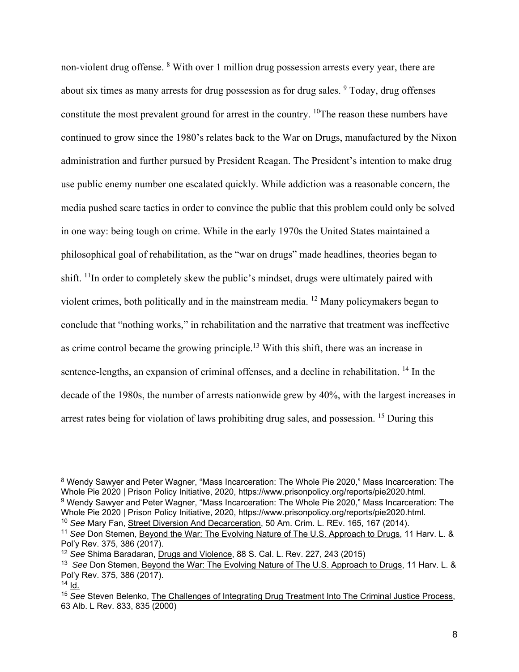non-violent drug offense. <sup>8</sup> With over 1 million drug possession arrests every year, there are about six times as many arrests for drug possession as for drug sales. <sup>9</sup> Today, drug offenses constitute the most prevalent ground for arrest in the country. <sup>10</sup>The reason these numbers have continued to grow since the 1980's relates back to the War on Drugs, manufactured by the Nixon administration and further pursued by President Reagan. The President's intention to make drug use public enemy number one escalated quickly. While addiction was a reasonable concern, the media pushed scare tactics in order to convince the public that this problem could only be solved in one way: being tough on crime. While in the early 1970s the United States maintained a philosophical goal of rehabilitation, as the "war on drugs" made headlines, theories began to shift. <sup>11</sup>In order to completely skew the public's mindset, drugs were ultimately paired with violent crimes, both politically and in the mainstream media. 12 Many policymakers began to conclude that "nothing works," in rehabilitation and the narrative that treatment was ineffective as crime control became the growing principle.<sup>13</sup> With this shift, there was an increase in sentence-lengths, an expansion of criminal offenses, and a decline in rehabilitation.<sup>14</sup> In the decade of the 1980s, the number of arrests nationwide grew by 40%, with the largest increases in arrest rates being for violation of laws prohibiting drug sales, and possession. <sup>15</sup> During this

<sup>8</sup> Wendy Sawyer and Peter Wagner, "Mass Incarceration: The Whole Pie 2020," Mass Incarceration: The Whole Pie 2020 | Prison Policy Initiative, 2020, https://www.prisonpolicy.org/reports/pie2020.html. 9 Wendy Sawyer and Peter Wagner, "Mass Incarceration: The Whole Pie 2020," Mass Incarceration: The Whole Pie 2020 | Prison Policy Initiative, 2020, https://www.prisonpolicy.org/reports/pie2020.html. <sup>10</sup> *See* Mary Fan, Street Diversion And Decarceration, 50 Am. Crim. L. REv. 165, 167 (2014).

<sup>11</sup> *See* Don Stemen, Beyond the War: The Evolving Nature of The U.S. Approach to Drugs, 11 Harv. L. & Pol'y Rev. 375, 386 (2017).

<sup>12</sup> *See* Shima Baradaran, Drugs and Violence, 88 S. Cal. L. Rev. 227, 243 (2015)

<sup>13</sup> *See* Don Stemen, Beyond the War: The Evolving Nature of The U.S. Approach to Drugs, 11 Harv. L. & Pol'y Rev. 375, 386 (2017).

 $14$  Id.

<sup>15</sup> *See* Steven Belenko, The Challenges of Integrating Drug Treatment Into The Criminal Justice Process, 63 Alb. L Rev. 833, 835 (2000)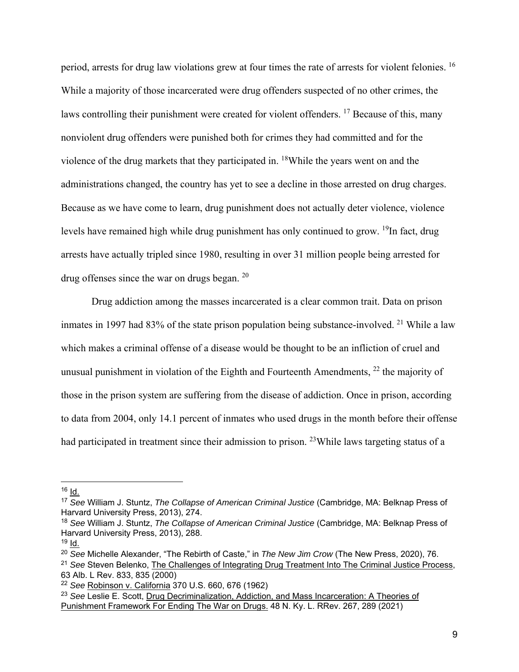period, arrests for drug law violations grew at four times the rate of arrests for violent felonies. 16 While a majority of those incarcerated were drug offenders suspected of no other crimes, the laws controlling their punishment were created for violent offenders. <sup>17</sup> Because of this, many nonviolent drug offenders were punished both for crimes they had committed and for the violence of the drug markets that they participated in. 18While the years went on and the administrations changed, the country has yet to see a decline in those arrested on drug charges. Because as we have come to learn, drug punishment does not actually deter violence, violence levels have remained high while drug punishment has only continued to grow. <sup>19</sup>In fact, drug arrests have actually tripled since 1980, resulting in over 31 million people being arrested for drug offenses since the war on drugs began. 20

Drug addiction among the masses incarcerated is a clear common trait. Data on prison inmates in 1997 had 83% of the state prison population being substance-involved. <sup>21</sup> While a law which makes a criminal offense of a disease would be thought to be an infliction of cruel and unusual punishment in violation of the Eighth and Fourteenth Amendments,  $^{22}$  the majority of those in the prison system are suffering from the disease of addiction. Once in prison, according to data from 2004, only 14.1 percent of inmates who used drugs in the month before their offense had participated in treatment since their admission to prison. <sup>23</sup>While laws targeting status of a

 $16$  Id.

<sup>17</sup> *See* William J. Stuntz, *The Collapse of American Criminal Justice* (Cambridge, MA: Belknap Press of Harvard University Press, 2013), 274.

<sup>18</sup> *See* William J. Stuntz, *The Collapse of American Criminal Justice* (Cambridge, MA: Belknap Press of Harvard University Press, 2013), 288.

<sup>19</sup> Id.

<sup>20</sup> *See* Michelle Alexander, "The Rebirth of Caste," in *The New Jim Crow* (The New Press, 2020), 76.

<sup>21</sup> *See* Steven Belenko, The Challenges of Integrating Drug Treatment Into The Criminal Justice Process, 63 Alb. L Rev. 833, 835 (2000)

<sup>22</sup> *See* Robinson v. California 370 U.S. 660, 676 (1962)

<sup>23</sup> *See* Leslie E. Scott, Drug Decriminalization, Addiction, and Mass Incarceration: A Theories of Punishment Framework For Ending The War on Drugs. 48 N. Ky. L. RRev. 267, 289 (2021)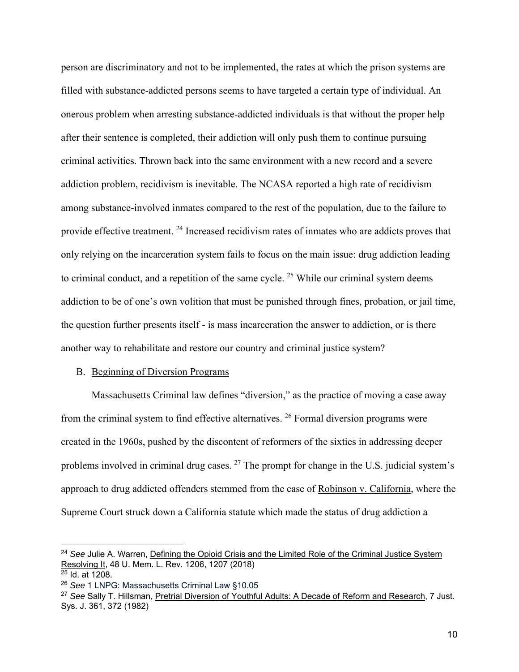person are discriminatory and not to be implemented, the rates at which the prison systems are filled with substance-addicted persons seems to have targeted a certain type of individual. An onerous problem when arresting substance-addicted individuals is that without the proper help after their sentence is completed, their addiction will only push them to continue pursuing criminal activities. Thrown back into the same environment with a new record and a severe addiction problem, recidivism is inevitable. The NCASA reported a high rate of recidivism among substance-involved inmates compared to the rest of the population, due to the failure to provide effective treatment.<sup>24</sup> Increased recidivism rates of inmates who are addicts proves that only relying on the incarceration system fails to focus on the main issue: drug addiction leading to criminal conduct, and a repetition of the same cycle.  $25$  While our criminal system deems addiction to be of one's own volition that must be punished through fines, probation, or jail time, the question further presents itself - is mass incarceration the answer to addiction, or is there another way to rehabilitate and restore our country and criminal justice system?

#### B. Beginning of Diversion Programs

 Massachusetts Criminal law defines "diversion," as the practice of moving a case away from the criminal system to find effective alternatives. 26 Formal diversion programs were created in the 1960s, pushed by the discontent of reformers of the sixties in addressing deeper problems involved in criminal drug cases. <sup>27</sup> The prompt for change in the U.S. judicial system's approach to drug addicted offenders stemmed from the case of Robinson v. California, where the Supreme Court struck down a California statute which made the status of drug addiction a

<sup>24</sup> *See* Julie A. Warren, Defining the Opioid Crisis and the Limited Role of the Criminal Justice System Resolving It, 48 U. Mem. L. Rev. 1206, 1207 (2018)

<sup>25</sup> Id. at 1208.

<sup>26</sup> *See* 1 LNPG: Massachusetts Criminal Law §10.05

<sup>27</sup> *See* Sally T. Hillsman, Pretrial Diversion of Youthful Adults: A Decade of Reform and Research, 7 Just. Sys. J. 361, 372 (1982)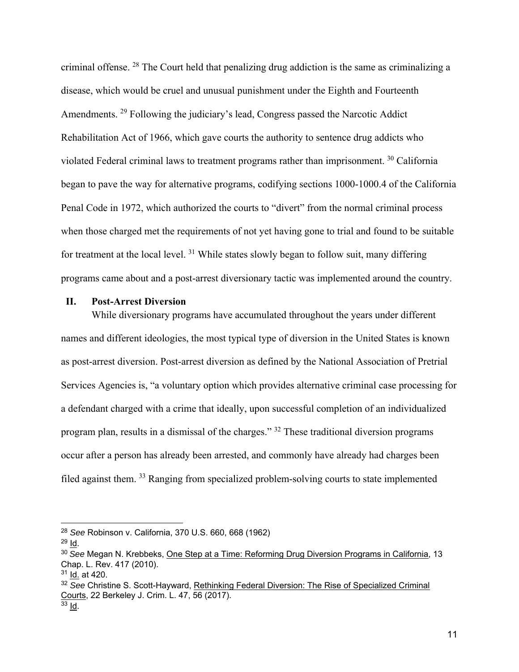criminal offense. 28 The Court held that penalizing drug addiction is the same as criminalizing a disease, which would be cruel and unusual punishment under the Eighth and Fourteenth Amendments. <sup>29</sup> Following the judiciary's lead, Congress passed the Narcotic Addict Rehabilitation Act of 1966, which gave courts the authority to sentence drug addicts who violated Federal criminal laws to treatment programs rather than imprisonment. 30 California began to pave the way for alternative programs, codifying sections 1000-1000.4 of the California Penal Code in 1972, which authorized the courts to "divert" from the normal criminal process when those charged met the requirements of not yet having gone to trial and found to be suitable for treatment at the local level.  $31$  While states slowly began to follow suit, many differing programs came about and a post-arrest diversionary tactic was implemented around the country.

## **II. Post-Arrest Diversion**

While diversionary programs have accumulated throughout the years under different names and different ideologies, the most typical type of diversion in the United States is known as post-arrest diversion. Post-arrest diversion as defined by the National Association of Pretrial Services Agencies is, "a voluntary option which provides alternative criminal case processing for a defendant charged with a crime that ideally, upon successful completion of an individualized program plan, results in a dismissal of the charges." 32 These traditional diversion programs occur after a person has already been arrested, and commonly have already had charges been filed against them. 33 Ranging from specialized problem-solving courts to state implemented

<sup>28</sup> *See* Robinson v. California, 370 U.S. 660, 668 (1962)

 $29$  Id.

<sup>30</sup> *See* Megan N. Krebbeks, One Step at a Time: Reforming Drug Diversion Programs in California, 13 Chap. L. Rev. 417 (2010).

<sup>31</sup> Id. at 420.

<sup>32</sup> *See* Christine S. Scott-Hayward, Rethinking Federal Diversion: The Rise of Specialized Criminal Courts, 22 Berkeley J. Crim. L. 47, 56 (2017).

<sup>&</sup>lt;sup>33</sup> ld.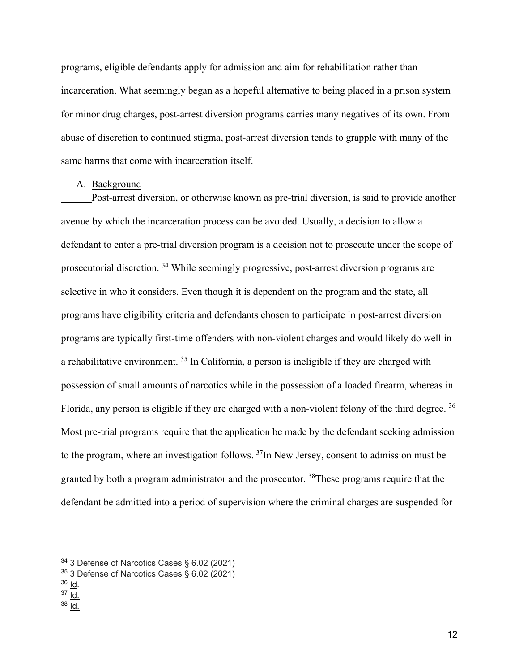programs, eligible defendants apply for admission and aim for rehabilitation rather than incarceration. What seemingly began as a hopeful alternative to being placed in a prison system for minor drug charges, post-arrest diversion programs carries many negatives of its own. From abuse of discretion to continued stigma, post-arrest diversion tends to grapple with many of the same harms that come with incarceration itself.

## A. Background

 Post-arrest diversion, or otherwise known as pre-trial diversion, is said to provide another avenue by which the incarceration process can be avoided. Usually, a decision to allow a defendant to enter a pre-trial diversion program is a decision not to prosecute under the scope of prosecutorial discretion. 34 While seemingly progressive, post-arrest diversion programs are selective in who it considers. Even though it is dependent on the program and the state, all programs have eligibility criteria and defendants chosen to participate in post-arrest diversion programs are typically first-time offenders with non-violent charges and would likely do well in a rehabilitative environment. 35 In California, a person is ineligible if they are charged with possession of small amounts of narcotics while in the possession of a loaded firearm, whereas in Florida, any person is eligible if they are charged with a non-violent felony of the third degree. <sup>36</sup> Most pre-trial programs require that the application be made by the defendant seeking admission to the program, where an investigation follows.  $37$ In New Jersey, consent to admission must be granted by both a program administrator and the prosecutor.  $38$ These programs require that the defendant be admitted into a period of supervision where the criminal charges are suspended for

<sup>34</sup> 3 Defense of Narcotics Cases § 6.02 (2021)

 $35$  3 Defense of Narcotics Cases § 6.02 (2021)

<sup>36</sup> Id.

<sup>37</sup> Id.

 $38$  Id.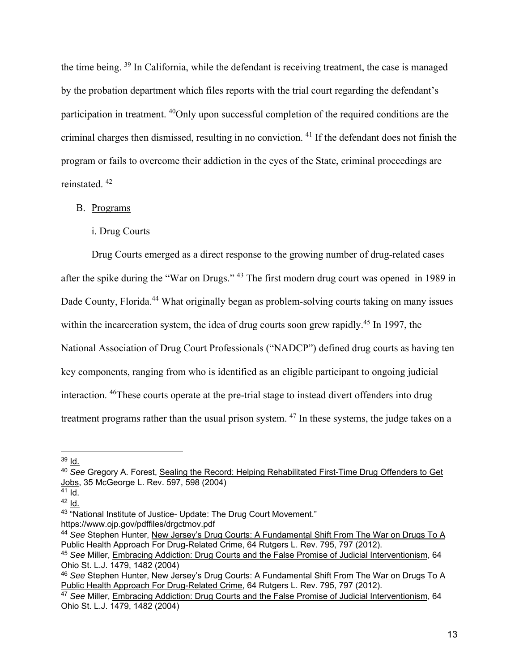the time being. 39 In California, while the defendant is receiving treatment, the case is managed by the probation department which files reports with the trial court regarding the defendant's participation in treatment. <sup>40</sup>Only upon successful completion of the required conditions are the criminal charges then dismissed, resulting in no conviction. 41 If the defendant does not finish the program or fails to overcome their addiction in the eyes of the State, criminal proceedings are reinstated. 42

# B. Programs

# i. Drug Courts

 Drug Courts emerged as a direct response to the growing number of drug-related cases after the spike during the "War on Drugs." 43 The first modern drug court was opened in 1989 in Dade County, Florida.<sup>44</sup> What originally began as problem-solving courts taking on many issues within the incarceration system, the idea of drug courts soon grew rapidly.<sup>45</sup> In 1997, the National Association of Drug Court Professionals ("NADCP") defined drug courts as having ten key components, ranging from who is identified as an eligible participant to ongoing judicial interaction. 46These courts operate at the pre-trial stage to instead divert offenders into drug treatment programs rather than the usual prison system. <sup>47</sup> In these systems, the judge takes on a

<sup>39</sup> Id.

<sup>40</sup> *See* Gregory A. Forest, Sealing the Record: Helping Rehabilitated First-Time Drug Offenders to Get Jobs, 35 McGeorge L. Rev. 597, 598 (2004)

 $\overline{41}$  Id.

<sup>42</sup> Id.

<sup>43 &</sup>quot;National Institute of Justice- Update: The Drug Court Movement."

https://www.ojp.gov/pdffiles/drgctmov.pdf

<sup>44</sup> *See* Stephen Hunter, New Jersey's Drug Courts: A Fundamental Shift From The War on Drugs To A Public Health Approach For Drug-Related Crime, 64 Rutgers L. Rev. 795, 797 (2012).

<sup>45</sup> *See* Miller, Embracing Addiction: Drug Courts and the False Promise of Judicial Interventionism, 64 Ohio St. L.J. 1479, 1482 (2004)

<sup>46</sup> *See* Stephen Hunter, New Jersey's Drug Courts: A Fundamental Shift From The War on Drugs To A Public Health Approach For Drug-Related Crime, 64 Rutgers L. Rev. 795, 797 (2012).

<sup>47</sup> *See* Miller, Embracing Addiction: Drug Courts and the False Promise of Judicial Interventionism, 64 Ohio St. L.J. 1479, 1482 (2004)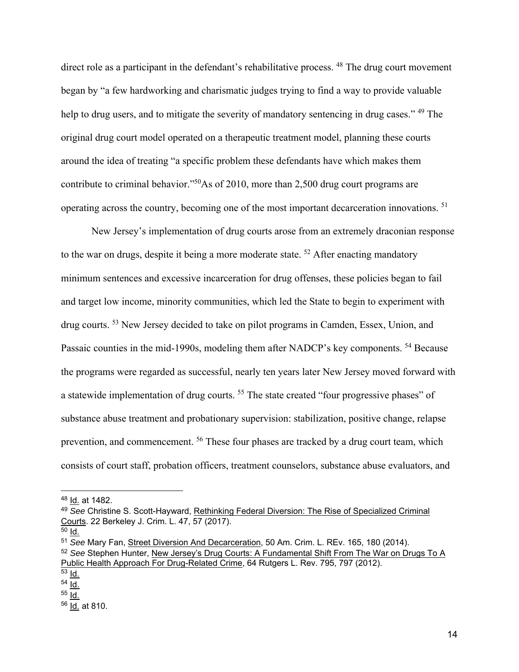direct role as a participant in the defendant's rehabilitative process. <sup>48</sup> The drug court movement began by "a few hardworking and charismatic judges trying to find a way to provide valuable help to drug users, and to mitigate the severity of mandatory sentencing in drug cases." <sup>49</sup> The original drug court model operated on a therapeutic treatment model, planning these courts around the idea of treating "a specific problem these defendants have which makes them contribute to criminal behavior."<sup>50</sup>As of 2010, more than 2,500 drug court programs are operating across the country, becoming one of the most important decarceration innovations. 51

 New Jersey's implementation of drug courts arose from an extremely draconian response to the war on drugs, despite it being a more moderate state.  $52$  After enacting mandatory minimum sentences and excessive incarceration for drug offenses, these policies began to fail and target low income, minority communities, which led the State to begin to experiment with drug courts. <sup>53</sup> New Jersey decided to take on pilot programs in Camden, Essex, Union, and Passaic counties in the mid-1990s, modeling them after NADCP's key components.<sup>54</sup> Because the programs were regarded as successful, nearly ten years later New Jersey moved forward with a statewide implementation of drug courts.<sup>55</sup> The state created "four progressive phases" of substance abuse treatment and probationary supervision: stabilization, positive change, relapse prevention, and commencement. <sup>56</sup> These four phases are tracked by a drug court team, which consists of court staff, probation officers, treatment counselors, substance abuse evaluators, and

 $53$   $\overline{\text{Id}}$ .

<sup>48</sup> Id. at 1482.

<sup>49</sup> *See* Christine S. Scott-Hayward, Rethinking Federal Diversion: The Rise of Specialized Criminal Courts. 22 Berkeley J. Crim. L. 47, 57 (2017).

 $50$  Id.

<sup>51</sup> *See* Mary Fan, Street Diversion And Decarceration, 50 Am. Crim. L. REv. 165, 180 (2014).

<sup>52</sup> *See* Stephen Hunter, New Jersey's Drug Courts: A Fundamental Shift From The War on Drugs To A Public Health Approach For Drug-Related Crime, 64 Rutgers L. Rev. 795, 797 (2012).

<sup>54</sup> Id. 55 Id.

<sup>56</sup> Id. at 810.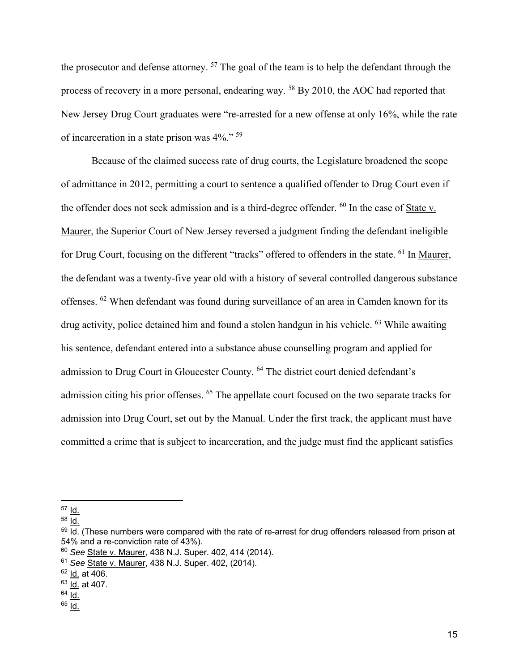the prosecutor and defense attorney. <sup>57</sup> The goal of the team is to help the defendant through the process of recovery in a more personal, endearing way. 58 By 2010, the AOC had reported that New Jersey Drug Court graduates were "re-arrested for a new offense at only 16%, while the rate of incarceration in a state prison was 4%." 59

 Because of the claimed success rate of drug courts, the Legislature broadened the scope of admittance in 2012, permitting a court to sentence a qualified offender to Drug Court even if the offender does not seek admission and is a third-degree offender. <sup>60</sup> In the case of State v. Maurer, the Superior Court of New Jersey reversed a judgment finding the defendant ineligible for Drug Court, focusing on the different "tracks" offered to offenders in the state. <sup>61</sup> In Maurer, the defendant was a twenty-five year old with a history of several controlled dangerous substance offenses. 62 When defendant was found during surveillance of an area in Camden known for its drug activity, police detained him and found a stolen handgun in his vehicle. <sup>63</sup> While awaiting his sentence, defendant entered into a substance abuse counselling program and applied for admission to Drug Court in Gloucester County. 64 The district court denied defendant's admission citing his prior offenses. 65 The appellate court focused on the two separate tracks for admission into Drug Court, set out by the Manual. Under the first track, the applicant must have committed a crime that is subject to incarceration, and the judge must find the applicant satisfies

<sup>57</sup> Id.

<sup>58</sup> Id.

<sup>&</sup>lt;sup>59</sup> Id. (These numbers were compared with the rate of re-arrest for drug offenders released from prison at  $54\%$  and a re-conviction rate of 43%).

<sup>60</sup> *See* State v. Maurer, 438 N.J. Super. 402, 414 (2014).

<sup>61</sup> *See* State v. Maurer, 438 N.J. Super. 402, (2014).

 $62$  Id. at 406.

<sup>63</sup> Id. at 407.

<sup>64</sup> Id.

 $65$  Id.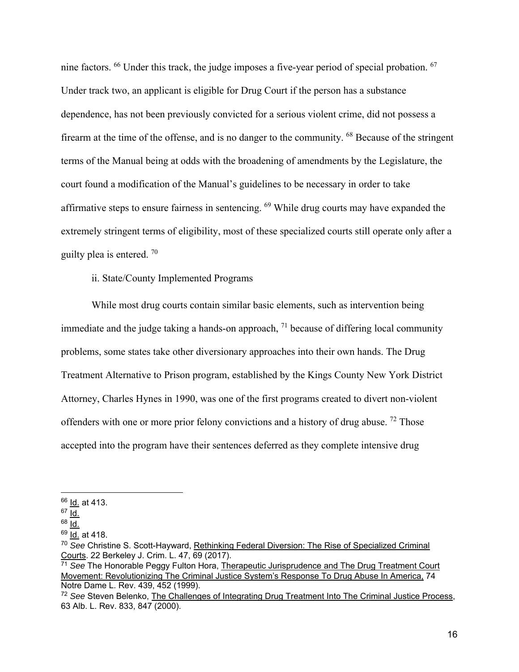nine factors. <sup>66</sup> Under this track, the judge imposes a five-year period of special probation. <sup>67</sup> Under track two, an applicant is eligible for Drug Court if the person has a substance dependence, has not been previously convicted for a serious violent crime, did not possess a firearm at the time of the offense, and is no danger to the community. <sup>68</sup> Because of the stringent terms of the Manual being at odds with the broadening of amendments by the Legislature, the court found a modification of the Manual's guidelines to be necessary in order to take affirmative steps to ensure fairness in sentencing. 69 While drug courts may have expanded the extremely stringent terms of eligibility, most of these specialized courts still operate only after a guilty plea is entered. 70

ii. State/County Implemented Programs

 While most drug courts contain similar basic elements, such as intervention being immediate and the judge taking a hands-on approach,  $<sup>71</sup>$  because of differing local community</sup> problems, some states take other diversionary approaches into their own hands. The Drug Treatment Alternative to Prison program, established by the Kings County New York District Attorney, Charles Hynes in 1990, was one of the first programs created to divert non-violent offenders with one or more prior felony convictions and a history of drug abuse. 72 Those accepted into the program have their sentences deferred as they complete intensive drug

<sup>66</sup> Id. at 413.

 $67$  Id.

 $68$  Id.

 $69$  Id. at 418.

<sup>70</sup> *See* Christine S. Scott-Hayward, Rethinking Federal Diversion: The Rise of Specialized Criminal Courts. 22 Berkeley J. Crim. L. 47, 69 (2017).

<sup>71</sup> *See* The Honorable Peggy Fulton Hora, Therapeutic Jurisprudence and The Drug Treatment Court Movement: Revolutionizing The Criminal Justice System's Response To Drug Abuse In America, 74 Notre Dame L. Rev. 439, 452 (1999).

<sup>72</sup> *See* Steven Belenko, The Challenges of Integrating Drug Treatment Into The Criminal Justice Process, 63 Alb. L. Rev. 833, 847 (2000).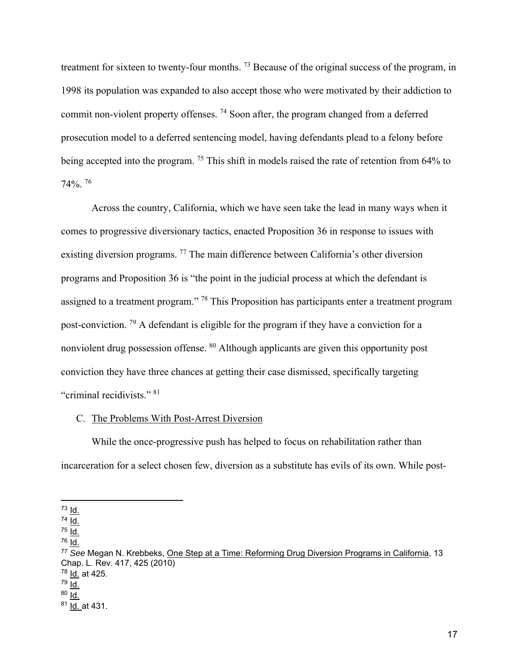treatment for sixteen to twenty-four months.<sup>73</sup> Because of the original success of the program, in 1998 its population was expanded to also accept those who were motivated by their addiction to commit non-violent property offenses.<sup>74</sup> Soon after, the program changed from a deferred prosecution model to a deferred sentencing model, having defendants plead to a felony before being accepted into the program. <sup>75</sup> This shift in models raised the rate of retention from 64% to 74%. 76

Across the country, California, which we have seen take the lead in many ways when it comes to progressive diversionary tactics, enacted Proposition 36 in response to issues with existing diversion programs.  $^{77}$  The main difference between California's other diversion programs and Proposition 36 is "the point in the judicial process at which the defendant is assigned to a treatment program." 78 This Proposition has participants enter a treatment program post-conviction. <sup>79</sup> A defendant is eligible for the program if they have a conviction for a nonviolent drug possession offense. 80 Although applicants are given this opportunity post conviction they have three chances at getting their case dismissed, specifically targeting "criminal recidivists." 81

## C. The Problems With Post-Arrest Diversion

 While the once-progressive push has helped to focus on rehabilitation rather than incarceration for a select chosen few, diversion as a substitute has evils of its own. While post-

 $^{73}$   $\underline{\mathsf{Id}}$ .

<sup>74</sup> Id.

 $75 \overline{Id}$ .

 $76$  Id.

<sup>77</sup> *See* Megan N. Krebbeks, One Step at a Time: Reforming Drug Diversion Programs in California, 13 Chap. L. Rev. 417, 425 (2010) 78 <u>Id.</u> at 425.

<sup>79</sup> Id.

 $80$  Id.

 $81$  Id. at 431.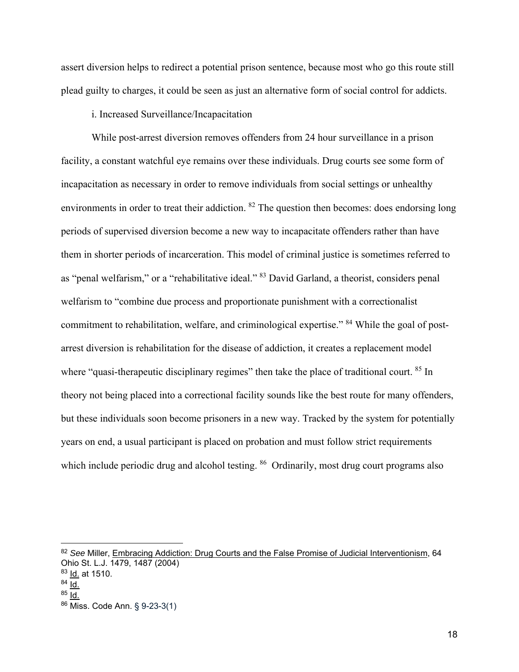assert diversion helps to redirect a potential prison sentence, because most who go this route still plead guilty to charges, it could be seen as just an alternative form of social control for addicts.

i. Increased Surveillance/Incapacitation

While post-arrest diversion removes offenders from 24 hour surveillance in a prison facility, a constant watchful eye remains over these individuals. Drug courts see some form of incapacitation as necessary in order to remove individuals from social settings or unhealthy environments in order to treat their addiction. <sup>82</sup> The question then becomes: does endorsing long periods of supervised diversion become a new way to incapacitate offenders rather than have them in shorter periods of incarceration. This model of criminal justice is sometimes referred to as "penal welfarism," or a "rehabilitative ideal." 83 David Garland, a theorist, considers penal welfarism to "combine due process and proportionate punishment with a correctionalist commitment to rehabilitation, welfare, and criminological expertise." <sup>84</sup> While the goal of postarrest diversion is rehabilitation for the disease of addiction, it creates a replacement model where "quasi-therapeutic disciplinary regimes" then take the place of traditional court. <sup>85</sup> In theory not being placed into a correctional facility sounds like the best route for many offenders, but these individuals soon become prisoners in a new way. Tracked by the system for potentially years on end, a usual participant is placed on probation and must follow strict requirements which include periodic drug and alcohol testing. <sup>86</sup> Ordinarily, most drug court programs also

<sup>82</sup> *See* Miller, Embracing Addiction: Drug Courts and the False Promise of Judicial Interventionism, 64 Ohio St. L.J. 1479, 1487 (2004)  $83$  <u>Id.</u> at 1510.

 $84$  Id.

<sup>85</sup> Id.

<sup>86</sup> Miss. Code Ann. § 9-23-3(1)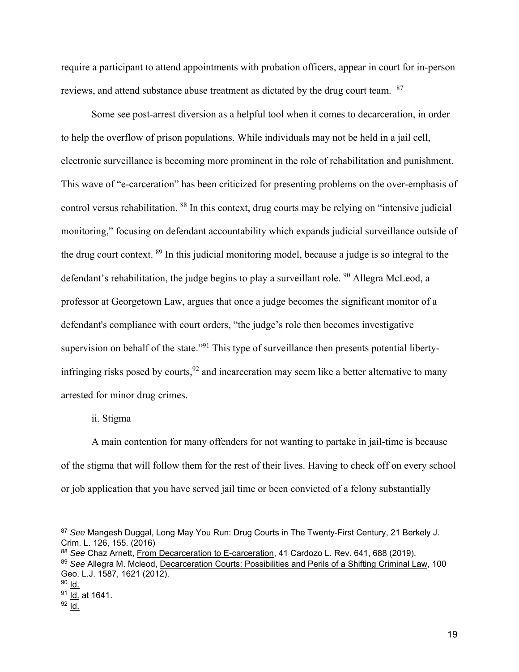require a participant to attend appointments with probation officers, appear in court for in-person reviews, and attend substance abuse treatment as dictated by the drug court team. 87

Some see post-arrest diversion as a helpful tool when it comes to decarceration, in order to help the overflow of prison populations. While individuals may not be held in a jail cell, electronic surveillance is becoming more prominent in the role of rehabilitation and punishment. This wave of "e-carceration" has been criticized for presenting problems on the over-emphasis of control versus rehabilitation. <sup>88</sup> In this context, drug courts may be relying on "intensive judicial" monitoring," focusing on defendant accountability which expands judicial surveillance outside of the drug court context. 89 In this judicial monitoring model, because a judge is so integral to the defendant's rehabilitation, the judge begins to play a surveillant role. <sup>90</sup> Allegra McLeod, a professor at Georgetown Law, argues that once a judge becomes the significant monitor of a defendant's compliance with court orders, "the judge's role then becomes investigative supervision on behalf of the state."<sup>91</sup> This type of surveillance then presents potential libertyinfringing risks posed by courts,  $92$  and incarceration may seem like a better alternative to many arrested for minor drug crimes.

ii. Stigma

 A main contention for many offenders for not wanting to partake in jail-time is because of the stigma that will follow them for the rest of their lives. Having to check off on every school or job application that you have served jail time or been convicted of a felony substantially

<sup>87</sup> *See* Mangesh Duggal, Long May You Run: Drug Courts in The Twenty-First Century, 21 Berkely J. Crim. L. 126, 155. (2016)

<sup>88</sup> *See* Chaz Arnett, From Decarceration to E-carceration, 41 Cardozo L. Rev. 641, 688 (2019).

<sup>89</sup> *See* Allegra M. Mcleod, Decarceration Courts: Possibilities and Perils of a Shifting Criminal Law, 100 Geo. L.J. 1587, 1621 (2012).

 $90$   $1d.$ 

<sup>91</sup> Id. at 1641.

<sup>92</sup> Id.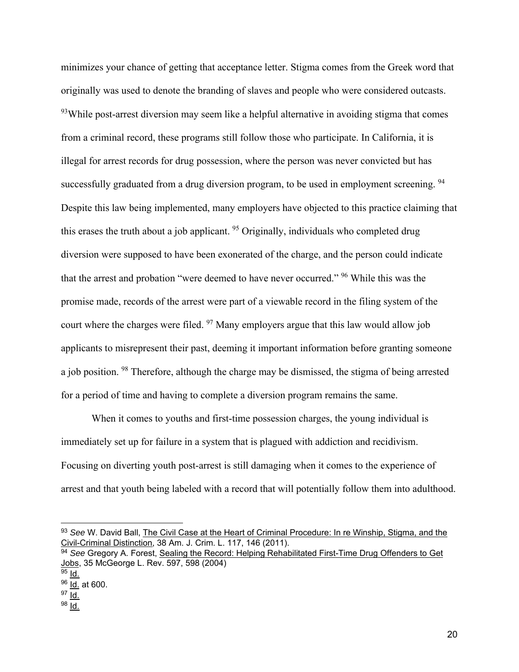minimizes your chance of getting that acceptance letter. Stigma comes from the Greek word that originally was used to denote the branding of slaves and people who were considered outcasts.  $93$ While post-arrest diversion may seem like a helpful alternative in avoiding stigma that comes from a criminal record, these programs still follow those who participate. In California, it is illegal for arrest records for drug possession, where the person was never convicted but has successfully graduated from a drug diversion program, to be used in employment screening. <sup>94</sup> Despite this law being implemented, many employers have objected to this practice claiming that this erases the truth about a job applicant. 95 Originally, individuals who completed drug diversion were supposed to have been exonerated of the charge, and the person could indicate that the arrest and probation "were deemed to have never occurred." 96 While this was the promise made, records of the arrest were part of a viewable record in the filing system of the court where the charges were filed. <sup>97</sup> Many employers argue that this law would allow job applicants to misrepresent their past, deeming it important information before granting someone a job position. 98 Therefore, although the charge may be dismissed, the stigma of being arrested for a period of time and having to complete a diversion program remains the same.

 When it comes to youths and first-time possession charges, the young individual is immediately set up for failure in a system that is plagued with addiction and recidivism. Focusing on diverting youth post-arrest is still damaging when it comes to the experience of arrest and that youth being labeled with a record that will potentially follow them into adulthood.

<sup>93</sup> *See* W. David Ball, The Civil Case at the Heart of Criminal Procedure: In re Winship, Stigma, and the Civil-Criminal Distinction, 38 Am. J. Crim. L. 117, 146 (2011). 94 *See* Gregory A. Forest, Sealing the Record: Helping Rehabilitated First-Time Drug Offenders to Get

Jobs, 35 McGeorge L. Rev. 597, 598 (2004)

 $95$  Id. 96 Id. at 600.

 $97$  Id.

<sup>98</sup> Id.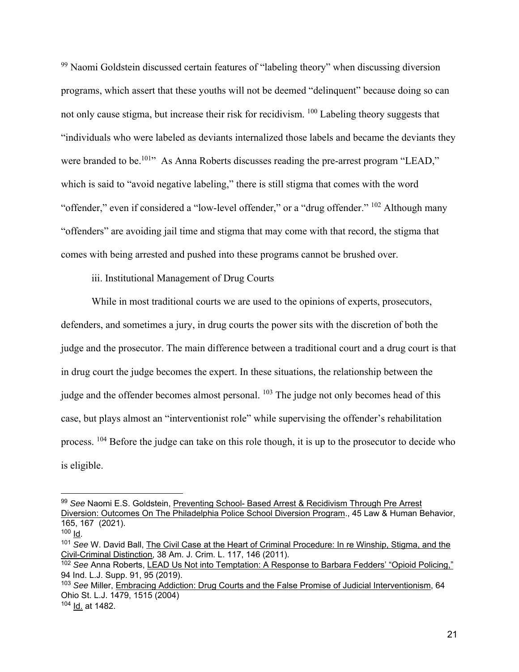99 Naomi Goldstein discussed certain features of "labeling theory" when discussing diversion programs, which assert that these youths will not be deemed "delinquent" because doing so can not only cause stigma, but increase their risk for recidivism. 100 Labeling theory suggests that "individuals who were labeled as deviants internalized those labels and became the deviants they were branded to be.<sup>101</sup>" As Anna Roberts discusses reading the pre-arrest program "LEAD," which is said to "avoid negative labeling," there is still stigma that comes with the word "offender," even if considered a "low-level offender," or a "drug offender." <sup>102</sup> Although many "offenders" are avoiding jail time and stigma that may come with that record, the stigma that comes with being arrested and pushed into these programs cannot be brushed over.

iii. Institutional Management of Drug Courts

 While in most traditional courts we are used to the opinions of experts, prosecutors, defenders, and sometimes a jury, in drug courts the power sits with the discretion of both the judge and the prosecutor. The main difference between a traditional court and a drug court is that in drug court the judge becomes the expert. In these situations, the relationship between the judge and the offender becomes almost personal. <sup>103</sup> The judge not only becomes head of this case, but plays almost an "interventionist role" while supervising the offender's rehabilitation process. 104 Before the judge can take on this role though, it is up to the prosecutor to decide who is eligible.

<sup>99</sup> *See* Naomi E.S. Goldstein, Preventing School- Based Arrest & Recidivism Through Pre Arrest Diversion: Outcomes On The Philadelphia Police School Diversion Program., 45 Law & Human Behavior, 165, 167 (2021).

 $100$   $\text{Id}$ .

<sup>101</sup> *See* W. David Ball, The Civil Case at the Heart of Criminal Procedure: In re Winship, Stigma, and the Civil-Criminal Distinction, 38 Am. J. Crim. L. 117, 146 (2011). 102 *See* Anna Roberts, LEAD Us Not into Temptation: A Response to Barbara Fedders' "Opioid Policing,"

<sup>94</sup> Ind. L.J. Supp. 91, 95 (2019).

<sup>103</sup> *See* Miller, Embracing Addiction: Drug Courts and the False Promise of Judicial Interventionism, 64 Ohio St. L.J. 1479, 1515 (2004)

<sup>104</sup> Id. at 1482.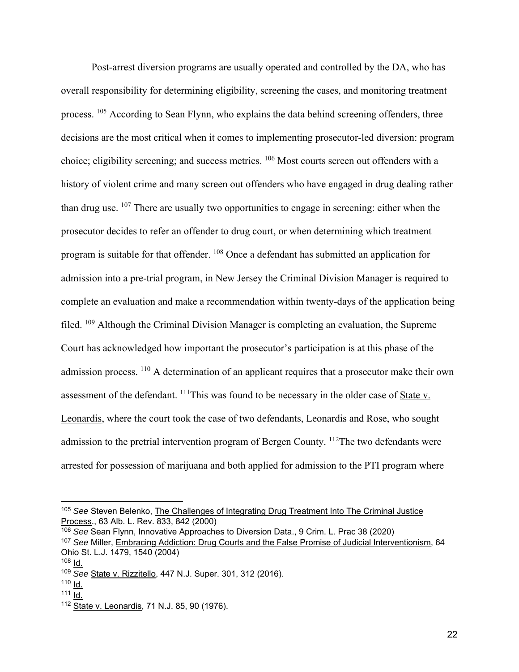Post-arrest diversion programs are usually operated and controlled by the DA, who has overall responsibility for determining eligibility, screening the cases, and monitoring treatment process. <sup>105</sup> According to Sean Flynn, who explains the data behind screening offenders, three decisions are the most critical when it comes to implementing prosecutor-led diversion: program choice; eligibility screening; and success metrics. 106 Most courts screen out offenders with a history of violent crime and many screen out offenders who have engaged in drug dealing rather than drug use.  $107$  There are usually two opportunities to engage in screening: either when the prosecutor decides to refer an offender to drug court, or when determining which treatment program is suitable for that offender. 108 Once a defendant has submitted an application for admission into a pre-trial program, in New Jersey the Criminal Division Manager is required to complete an evaluation and make a recommendation within twenty-days of the application being filed. 109 Although the Criminal Division Manager is completing an evaluation, the Supreme Court has acknowledged how important the prosecutor's participation is at this phase of the admission process. <sup>110</sup> A determination of an applicant requires that a prosecutor make their own assessment of the defendant. 111This was found to be necessary in the older case of State v. Leonardis, where the court took the case of two defendants, Leonardis and Rose, who sought admission to the pretrial intervention program of Bergen County. <sup>112</sup>The two defendants were arrested for possession of marijuana and both applied for admission to the PTI program where

<sup>105</sup> *See* Steven Belenko, The Challenges of Integrating Drug Treatment Into The Criminal Justice Process., 63 Alb. L. Rev. 833, 842 (2000)

<sup>106</sup> *See* Sean Flynn, Innovative Approaches to Diversion Data., 9 Crim. L. Prac 38 (2020)

<sup>107</sup> *See* Miller, Embracing Addiction: Drug Courts and the False Promise of Judicial Interventionism, 64 Ohio St. L.J. 1479, 1540 (2004)

<sup>108</sup> Id.

<sup>109</sup> *See* State v. Rizzitello, 447 N.J. Super. 301, 312 (2016).

<sup>110</sup>  $Id.$ 

<sup>111</sup> Id.

<sup>112</sup> State v. Leonardis, 71 N.J. 85, 90 (1976).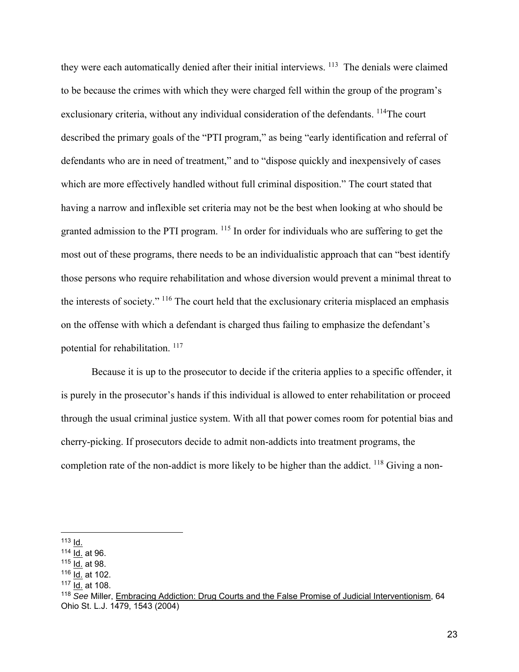they were each automatically denied after their initial interviews. <sup>113</sup> The denials were claimed to be because the crimes with which they were charged fell within the group of the program's exclusionary criteria, without any individual consideration of the defendants. <sup>114</sup>The court described the primary goals of the "PTI program," as being "early identification and referral of defendants who are in need of treatment," and to "dispose quickly and inexpensively of cases which are more effectively handled without full criminal disposition." The court stated that having a narrow and inflexible set criteria may not be the best when looking at who should be granted admission to the PTI program. <sup>115</sup> In order for individuals who are suffering to get the most out of these programs, there needs to be an individualistic approach that can "best identify those persons who require rehabilitation and whose diversion would prevent a minimal threat to the interests of society." 116 The court held that the exclusionary criteria misplaced an emphasis on the offense with which a defendant is charged thus failing to emphasize the defendant's potential for rehabilitation.<sup>117</sup>

Because it is up to the prosecutor to decide if the criteria applies to a specific offender, it is purely in the prosecutor's hands if this individual is allowed to enter rehabilitation or proceed through the usual criminal justice system. With all that power comes room for potential bias and cherry-picking. If prosecutors decide to admit non-addicts into treatment programs, the completion rate of the non-addict is more likely to be higher than the addict.  $^{118}$  Giving a non-

 $113$  Id.

<sup>114</sup> Id. at 96.

<sup>115 &</sup>lt;u>Id.</u> at 98.

<sup>116</sup> Id. at 102.

<sup>117</sup> Id. at 108.

<sup>118</sup> *See* Miller, Embracing Addiction: Drug Courts and the False Promise of Judicial Interventionism, 64 Ohio St. L.J. 1479, 1543 (2004)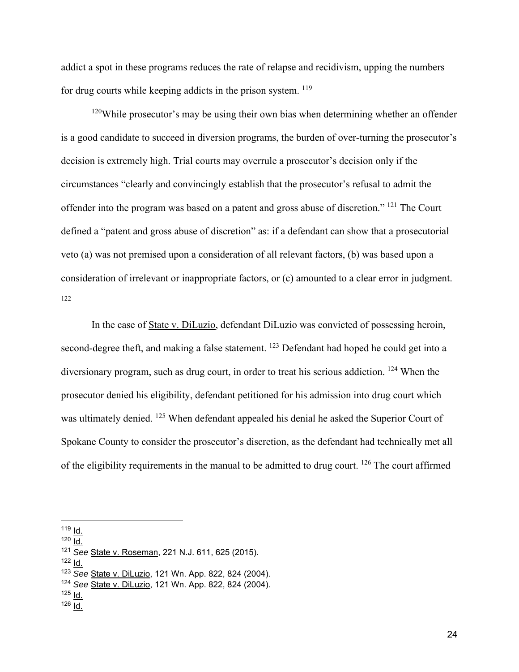addict a spot in these programs reduces the rate of relapse and recidivism, upping the numbers for drug courts while keeping addicts in the prison system. 119

 $120$ While prosecutor's may be using their own bias when determining whether an offender is a good candidate to succeed in diversion programs, the burden of over-turning the prosecutor's decision is extremely high. Trial courts may overrule a prosecutor's decision only if the circumstances "clearly and convincingly establish that the prosecutor's refusal to admit the offender into the program was based on a patent and gross abuse of discretion." 121 The Court defined a "patent and gross abuse of discretion" as: if a defendant can show that a prosecutorial veto (a) was not premised upon a consideration of all relevant factors, (b) was based upon a consideration of irrelevant or inappropriate factors, or (c) amounted to a clear error in judgment. 122

In the case of State v. DiLuzio, defendant DiLuzio was convicted of possessing heroin, second-degree theft, and making a false statement.  $123$  Defendant had hoped he could get into a diversionary program, such as drug court, in order to treat his serious addiction. <sup>124</sup> When the prosecutor denied his eligibility, defendant petitioned for his admission into drug court which was ultimately denied. <sup>125</sup> When defendant appealed his denial he asked the Superior Court of Spokane County to consider the prosecutor's discretion, as the defendant had technically met all of the eligibility requirements in the manual to be admitted to drug court. <sup>126</sup> The court affirmed

 $125$   $Id.$ 

 $119$   $\underline{Id}$ .

<sup>120</sup> Id.

<sup>121</sup> *See* State v. Roseman, 221 N.J. 611, 625 (2015).

 $122$  Id.

<sup>123</sup> *See* State v. DiLuzio, 121 Wn. App. 822, 824 (2004).

<sup>124</sup> *See* State v. DiLuzio, 121 Wn. App. 822, 824 (2004).

 $126$  Id.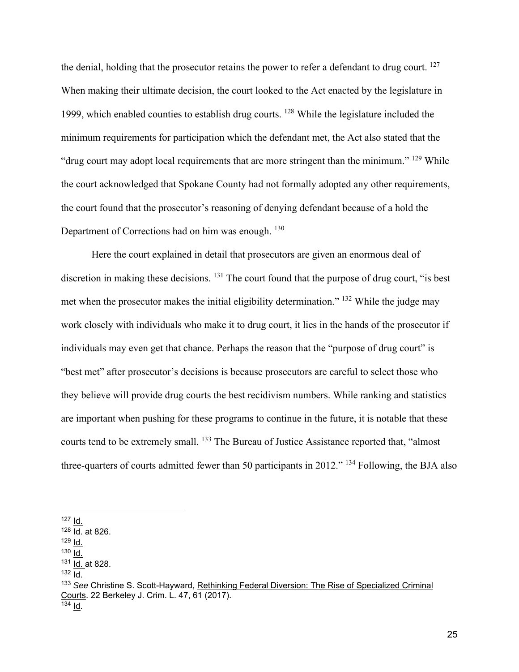the denial, holding that the prosecutor retains the power to refer a defendant to drug court.  $127$ When making their ultimate decision, the court looked to the Act enacted by the legislature in 1999, which enabled counties to establish drug courts.  $^{128}$  While the legislature included the minimum requirements for participation which the defendant met, the Act also stated that the "drug court may adopt local requirements that are more stringent than the minimum."  $^{129}$  While the court acknowledged that Spokane County had not formally adopted any other requirements, the court found that the prosecutor's reasoning of denying defendant because of a hold the Department of Corrections had on him was enough. <sup>130</sup>

Here the court explained in detail that prosecutors are given an enormous deal of discretion in making these decisions. <sup>131</sup> The court found that the purpose of drug court, "is best met when the prosecutor makes the initial eligibility determination." <sup>132</sup> While the judge may work closely with individuals who make it to drug court, it lies in the hands of the prosecutor if individuals may even get that chance. Perhaps the reason that the "purpose of drug court" is "best met" after prosecutor's decisions is because prosecutors are careful to select those who they believe will provide drug courts the best recidivism numbers. While ranking and statistics are important when pushing for these programs to continue in the future, it is notable that these courts tend to be extremely small. <sup>133</sup> The Bureau of Justice Assistance reported that, "almost three-quarters of courts admitted fewer than 50 participants in 2012." <sup>134</sup> Following, the BJA also

 $127$   $\text{Id}$ .

 $130$   $Id.$ 

 $132$  Id.

<sup>128 &</sup>lt;u>Id</u>. at 826.

 $129$   $\text{Id}$ .

<sup>131</sup> Id. at 828.

<sup>133</sup> *See* Christine S. Scott-Hayward, Rethinking Federal Diversion: The Rise of Specialized Criminal Courts. 22 Berkeley J. Crim. L. 47, 61 (2017). <sup>134</sup> <u>Id</u>.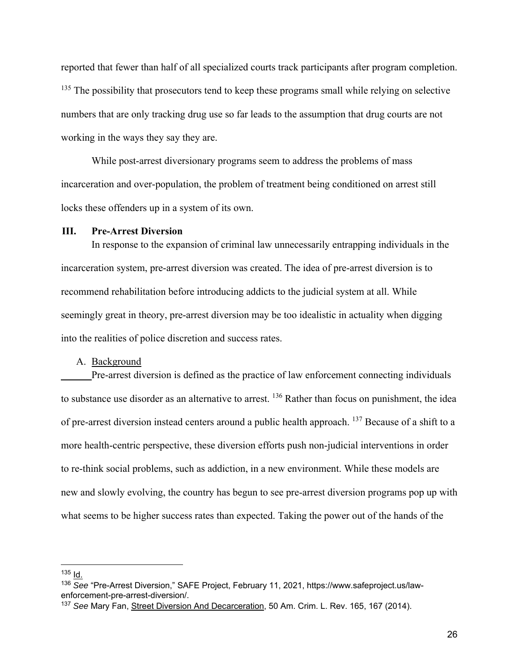reported that fewer than half of all specialized courts track participants after program completion.  $135$  The possibility that prosecutors tend to keep these programs small while relying on selective numbers that are only tracking drug use so far leads to the assumption that drug courts are not working in the ways they say they are.

 While post-arrest diversionary programs seem to address the problems of mass incarceration and over-population, the problem of treatment being conditioned on arrest still locks these offenders up in a system of its own.

## **III. Pre-Arrest Diversion**

In response to the expansion of criminal law unnecessarily entrapping individuals in the incarceration system, pre-arrest diversion was created. The idea of pre-arrest diversion is to recommend rehabilitation before introducing addicts to the judicial system at all. While seemingly great in theory, pre-arrest diversion may be too idealistic in actuality when digging into the realities of police discretion and success rates.

## A. Background

 Pre-arrest diversion is defined as the practice of law enforcement connecting individuals to substance use disorder as an alternative to arrest.  $^{136}$  Rather than focus on punishment, the idea of pre-arrest diversion instead centers around a public health approach. <sup>137</sup> Because of a shift to a more health-centric perspective, these diversion efforts push non-judicial interventions in order to re-think social problems, such as addiction, in a new environment. While these models are new and slowly evolving, the country has begun to see pre-arrest diversion programs pop up with what seems to be higher success rates than expected. Taking the power out of the hands of the

<sup>135</sup> Id.

<sup>136</sup> *See* "Pre-Arrest Diversion," SAFE Project, February 11, 2021, https://www.safeproject.us/lawenforcement-pre-arrest-diversion/.

<sup>137</sup> *See* Mary Fan, Street Diversion And Decarceration, 50 Am. Crim. L. Rev. 165, 167 (2014).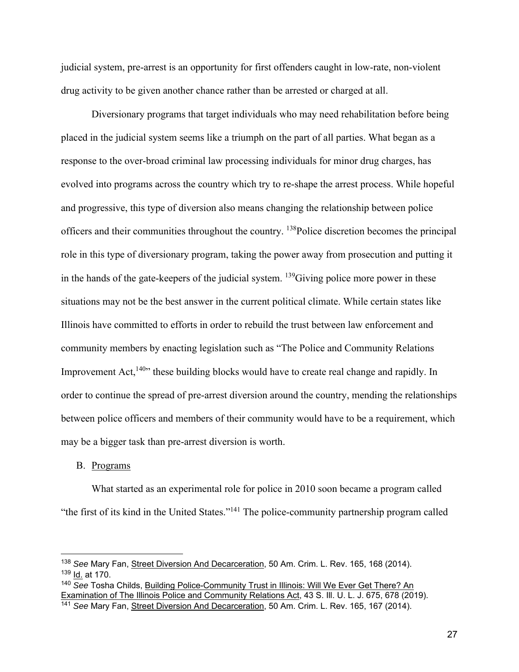judicial system, pre-arrest is an opportunity for first offenders caught in low-rate, non-violent drug activity to be given another chance rather than be arrested or charged at all.

 Diversionary programs that target individuals who may need rehabilitation before being placed in the judicial system seems like a triumph on the part of all parties. What began as a response to the over-broad criminal law processing individuals for minor drug charges, has evolved into programs across the country which try to re-shape the arrest process. While hopeful and progressive, this type of diversion also means changing the relationship between police officers and their communities throughout the country. 138Police discretion becomes the principal role in this type of diversionary program, taking the power away from prosecution and putting it in the hands of the gate-keepers of the judicial system.  $^{139}$ Giving police more power in these situations may not be the best answer in the current political climate. While certain states like Illinois have committed to efforts in order to rebuild the trust between law enforcement and community members by enacting legislation such as "The Police and Community Relations Improvement  $Act<sub>1</sub><sup>140</sup>$ , these building blocks would have to create real change and rapidly. In order to continue the spread of pre-arrest diversion around the country, mending the relationships between police officers and members of their community would have to be a requirement, which may be a bigger task than pre-arrest diversion is worth.

## B. Programs

 What started as an experimental role for police in 2010 soon became a program called "the first of its kind in the United States."141 The police-community partnership program called

<sup>138</sup> *See* Mary Fan, Street Diversion And Decarceration, 50 Am. Crim. L. Rev. 165, 168 (2014). 139 Id. at 170.

<sup>140</sup> *See* Tosha Childs, Building Police-Community Trust in Illinois: Will We Ever Get There? An Examination of The Illinois Police and Community Relations Act, 43 S. Ill. U. L. J. 675, 678 (2019).

<sup>141</sup> *See* Mary Fan, Street Diversion And Decarceration, 50 Am. Crim. L. Rev. 165, 167 (2014).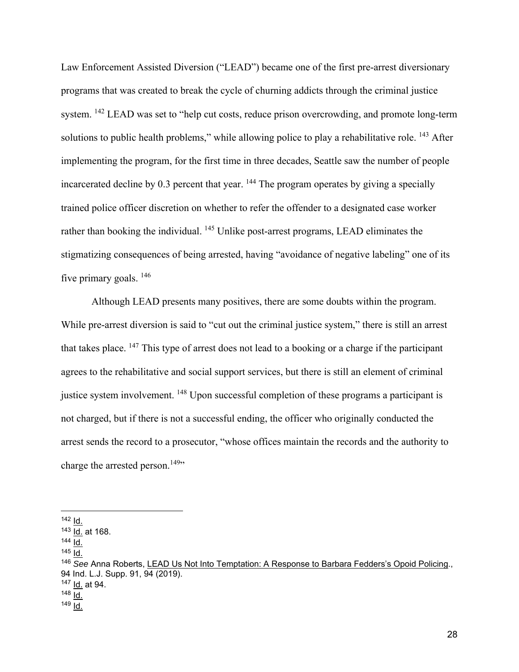Law Enforcement Assisted Diversion ("LEAD") became one of the first pre-arrest diversionary programs that was created to break the cycle of churning addicts through the criminal justice system. <sup>142</sup> LEAD was set to "help cut costs, reduce prison overcrowding, and promote long-term solutions to public health problems," while allowing police to play a rehabilitative role. <sup>143</sup> After implementing the program, for the first time in three decades, Seattle saw the number of people incarcerated decline by  $0.3$  percent that year. <sup>144</sup> The program operates by giving a specially trained police officer discretion on whether to refer the offender to a designated case worker rather than booking the individual. 145 Unlike post-arrest programs, LEAD eliminates the stigmatizing consequences of being arrested, having "avoidance of negative labeling" one of its five primary goals.  $146$ 

 Although LEAD presents many positives, there are some doubts within the program. While pre-arrest diversion is said to "cut out the criminal justice system," there is still an arrest that takes place. 147 This type of arrest does not lead to a booking or a charge if the participant agrees to the rehabilitative and social support services, but there is still an element of criminal justice system involvement. <sup>148</sup> Upon successful completion of these programs a participant is not charged, but if there is not a successful ending, the officer who originally conducted the arrest sends the record to a prosecutor, "whose offices maintain the records and the authority to charge the arrested person.<sup>149</sup>"

 $145$   $\text{Id}$ .

147 Id. at 94.

 $149$   $Id.$ 

 $142$  Id.

<sup>143</sup> Id. at 168.

 $144$   $Id.$ 

<sup>146</sup> *See* Anna Roberts, LEAD Us Not Into Temptation: A Response to Barbara Fedders's Opoid Policing., 94 Ind. L.J. Supp. 91, 94 (2019).

<sup>148</sup> Id.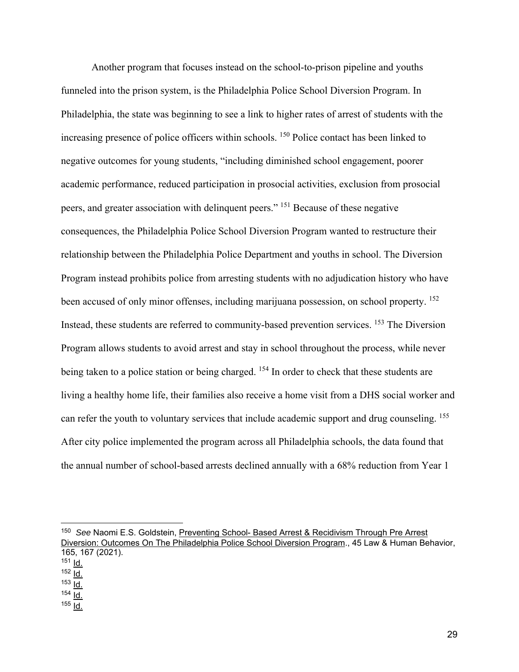Another program that focuses instead on the school-to-prison pipeline and youths funneled into the prison system, is the Philadelphia Police School Diversion Program. In Philadelphia, the state was beginning to see a link to higher rates of arrest of students with the increasing presence of police officers within schools. 150 Police contact has been linked to negative outcomes for young students, "including diminished school engagement, poorer academic performance, reduced participation in prosocial activities, exclusion from prosocial peers, and greater association with delinquent peers." 151 Because of these negative consequences, the Philadelphia Police School Diversion Program wanted to restructure their relationship between the Philadelphia Police Department and youths in school. The Diversion Program instead prohibits police from arresting students with no adjudication history who have been accused of only minor offenses, including marijuana possession, on school property. <sup>152</sup> Instead, these students are referred to community-based prevention services. 153 The Diversion Program allows students to avoid arrest and stay in school throughout the process, while never being taken to a police station or being charged. <sup>154</sup> In order to check that these students are living a healthy home life, their families also receive a home visit from a DHS social worker and can refer the youth to voluntary services that include academic support and drug counseling. 155 After city police implemented the program across all Philadelphia schools, the data found that the annual number of school-based arrests declined annually with a 68% reduction from Year 1

<sup>150</sup> *See* Naomi E.S. Goldstein, Preventing School- Based Arrest & Recidivism Through Pre Arrest Diversion: Outcomes On The Philadelphia Police School Diversion Program., 45 Law & Human Behavior, 165, 167 (2021).

 $151$  Id.

 $152$  Id.

 $153$   $1d.$ 

 $154$   $Id.$ 

 $155$   $Id.$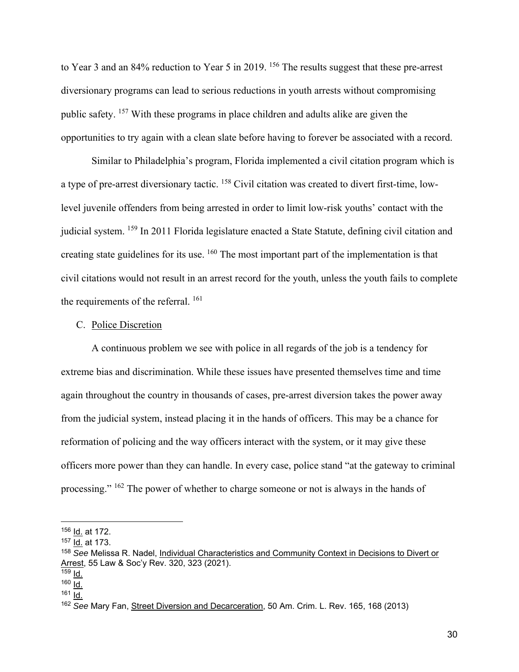to Year 3 and an 84% reduction to Year 5 in 2019. <sup>156</sup> The results suggest that these pre-arrest diversionary programs can lead to serious reductions in youth arrests without compromising public safety. 157 With these programs in place children and adults alike are given the opportunities to try again with a clean slate before having to forever be associated with a record.

 Similar to Philadelphia's program, Florida implemented a civil citation program which is a type of pre-arrest diversionary tactic. 158 Civil citation was created to divert first-time, lowlevel juvenile offenders from being arrested in order to limit low-risk youths' contact with the judicial system. 159 In 2011 Florida legislature enacted a State Statute, defining civil citation and creating state guidelines for its use. 160 The most important part of the implementation is that civil citations would not result in an arrest record for the youth, unless the youth fails to complete the requirements of the referral. <sup>161</sup>

## C. Police Discretion

A continuous problem we see with police in all regards of the job is a tendency for extreme bias and discrimination. While these issues have presented themselves time and time again throughout the country in thousands of cases, pre-arrest diversion takes the power away from the judicial system, instead placing it in the hands of officers. This may be a chance for reformation of policing and the way officers interact with the system, or it may give these officers more power than they can handle. In every case, police stand "at the gateway to criminal processing." 162 The power of whether to charge someone or not is always in the hands of

<sup>156</sup> Id. at 172.

<sup>157</sup> Id. at 173.

<sup>158</sup> *See* Melissa R. Nadel, Individual Characteristics and Community Context in Decisions to Divert or Arrest, 55 Law & Soc'y Rev. 320, 323 (2021).

 $159$   $10$ .

<sup>160</sup>  $Id.$ 

 $161$  Id.

<sup>162</sup> *See* Mary Fan, Street Diversion and Decarceration, 50 Am. Crim. L. Rev. 165, 168 (2013)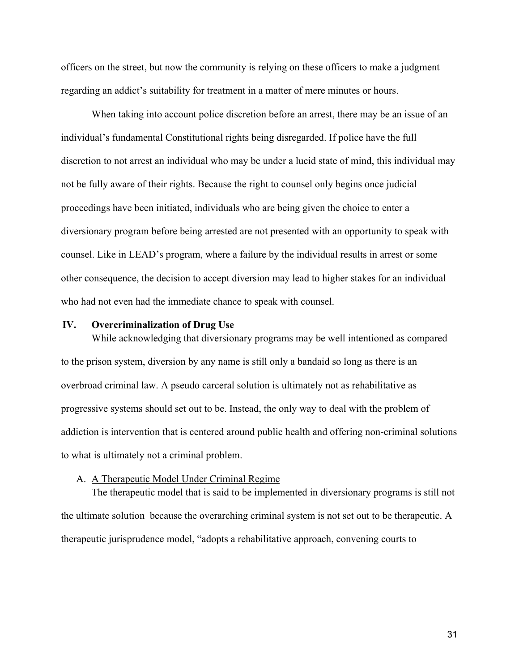officers on the street, but now the community is relying on these officers to make a judgment regarding an addict's suitability for treatment in a matter of mere minutes or hours.

When taking into account police discretion before an arrest, there may be an issue of an individual's fundamental Constitutional rights being disregarded. If police have the full discretion to not arrest an individual who may be under a lucid state of mind, this individual may not be fully aware of their rights. Because the right to counsel only begins once judicial proceedings have been initiated, individuals who are being given the choice to enter a diversionary program before being arrested are not presented with an opportunity to speak with counsel. Like in LEAD's program, where a failure by the individual results in arrest or some other consequence, the decision to accept diversion may lead to higher stakes for an individual who had not even had the immediate chance to speak with counsel.

### **IV. Overcriminalization of Drug Use**

 While acknowledging that diversionary programs may be well intentioned as compared to the prison system, diversion by any name is still only a bandaid so long as there is an overbroad criminal law. A pseudo carceral solution is ultimately not as rehabilitative as progressive systems should set out to be. Instead, the only way to deal with the problem of addiction is intervention that is centered around public health and offering non-criminal solutions to what is ultimately not a criminal problem.

#### A. A Therapeutic Model Under Criminal Regime

The therapeutic model that is said to be implemented in diversionary programs is still not the ultimate solution because the overarching criminal system is not set out to be therapeutic. A therapeutic jurisprudence model, "adopts a rehabilitative approach, convening courts to

31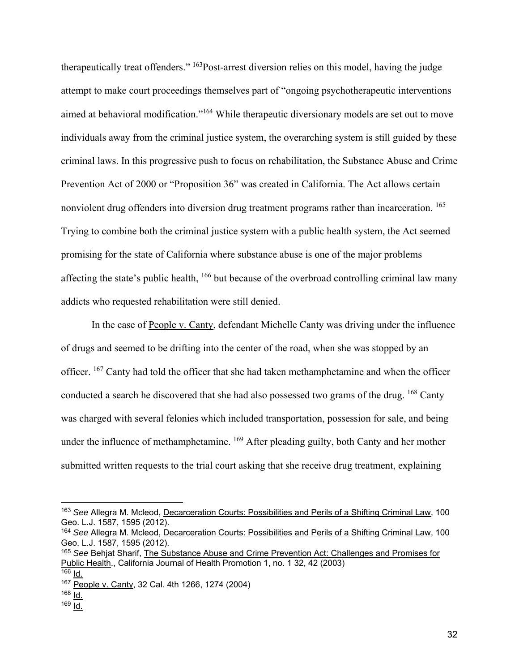therapeutically treat offenders." 163Post-arrest diversion relies on this model, having the judge attempt to make court proceedings themselves part of "ongoing psychotherapeutic interventions aimed at behavioral modification."164 While therapeutic diversionary models are set out to move individuals away from the criminal justice system, the overarching system is still guided by these criminal laws. In this progressive push to focus on rehabilitation, the Substance Abuse and Crime Prevention Act of 2000 or "Proposition 36" was created in California. The Act allows certain nonviolent drug offenders into diversion drug treatment programs rather than incarceration. 165 Trying to combine both the criminal justice system with a public health system, the Act seemed promising for the state of California where substance abuse is one of the major problems affecting the state's public health, <sup>166</sup> but because of the overbroad controlling criminal law many addicts who requested rehabilitation were still denied.

In the case of People v. Canty, defendant Michelle Canty was driving under the influence of drugs and seemed to be drifting into the center of the road, when she was stopped by an officer. <sup>167</sup> Canty had told the officer that she had taken methamphetamine and when the officer conducted a search he discovered that she had also possessed two grams of the drug. <sup>168</sup> Canty was charged with several felonies which included transportation, possession for sale, and being under the influence of methamphetamine. <sup>169</sup> After pleading guilty, both Canty and her mother submitted written requests to the trial court asking that she receive drug treatment, explaining

<sup>163</sup> *See* Allegra M. Mcleod, Decarceration Courts: Possibilities and Perils of a Shifting Criminal Law, 100 Geo. L.J. 1587, 1595 (2012).

<sup>164</sup> *See* Allegra M. Mcleod, Decarceration Courts: Possibilities and Perils of a Shifting Criminal Law, 100 Geo. L.J. 1587, 1595 (2012).

<sup>165</sup> *See* Behjat Sharif, The Substance Abuse and Crime Prevention Act: Challenges and Promises for Public Health., California Journal of Health Promotion 1, no. 1 32, 42 (2003)  $166$  Id.

<sup>167</sup> People v. Canty, 32 Cal. 4th 1266, 1274 (2004)

<sup>168</sup> Id.

 $169$  Id.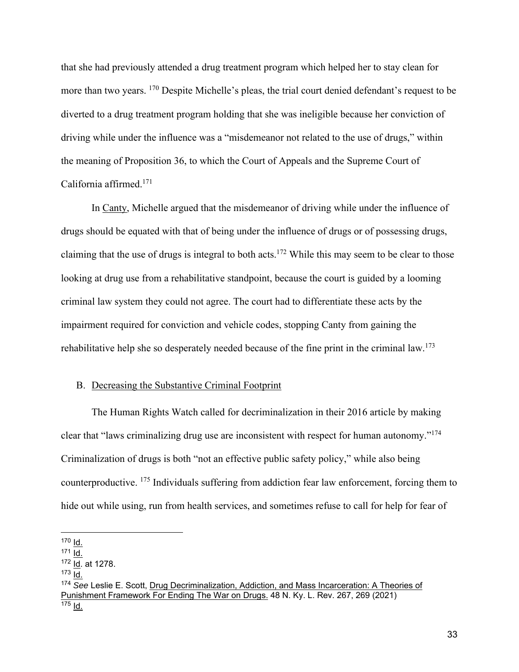that she had previously attended a drug treatment program which helped her to stay clean for more than two years. <sup>170</sup> Despite Michelle's pleas, the trial court denied defendant's request to be diverted to a drug treatment program holding that she was ineligible because her conviction of driving while under the influence was a "misdemeanor not related to the use of drugs," within the meaning of Proposition 36, to which the Court of Appeals and the Supreme Court of California affirmed.171

In Canty, Michelle argued that the misdemeanor of driving while under the influence of drugs should be equated with that of being under the influence of drugs or of possessing drugs, claiming that the use of drugs is integral to both acts.<sup>172</sup> While this may seem to be clear to those looking at drug use from a rehabilitative standpoint, because the court is guided by a looming criminal law system they could not agree. The court had to differentiate these acts by the impairment required for conviction and vehicle codes, stopping Canty from gaining the rehabilitative help she so desperately needed because of the fine print in the criminal law.<sup>173</sup>

# B. Decreasing the Substantive Criminal Footprint

The Human Rights Watch called for decriminalization in their 2016 article by making clear that "laws criminalizing drug use are inconsistent with respect for human autonomy."174 Criminalization of drugs is both "not an effective public safety policy," while also being counterproductive. 175 Individuals suffering from addiction fear law enforcement, forcing them to hide out while using, run from health services, and sometimes refuse to call for help for fear of

<sup>170</sup> Id.

 $171 \overline{Id}$ .

<sup>172</sup> Id. at 1278.

 $173$   $Id.$ 

<sup>174</sup> *See* Leslie E. Scott, Drug Decriminalization, Addiction, and Mass Incarceration: A Theories of Punishment Framework For Ending The War on Drugs. 48 N. Ky. L. Rev. 267, 269 (2021) <sup>175</sup> <u>Id.</u>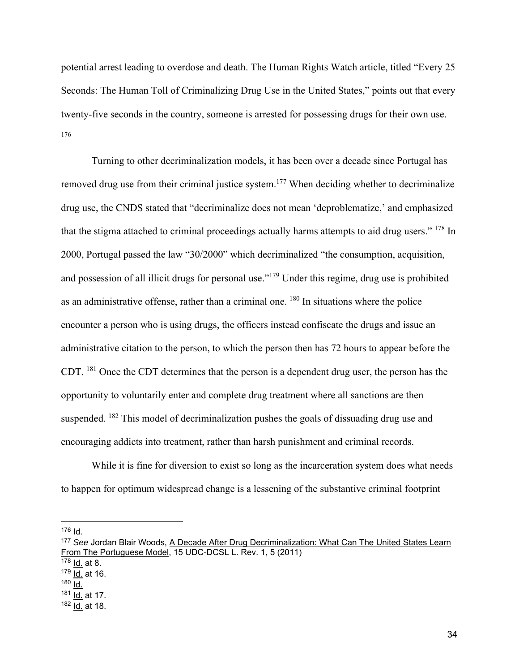potential arrest leading to overdose and death. The Human Rights Watch article, titled "Every 25 Seconds: The Human Toll of Criminalizing Drug Use in the United States," points out that every twenty-five seconds in the country, someone is arrested for possessing drugs for their own use. 176

 Turning to other decriminalization models, it has been over a decade since Portugal has removed drug use from their criminal justice system.<sup>177</sup> When deciding whether to decriminalize drug use, the CNDS stated that "decriminalize does not mean 'deproblematize,' and emphasized that the stigma attached to criminal proceedings actually harms attempts to aid drug users." 178 In 2000, Portugal passed the law "30/2000" which decriminalized "the consumption, acquisition, and possession of all illicit drugs for personal use."<sup>179</sup> Under this regime, drug use is prohibited as an administrative offense, rather than a criminal one. <sup>180</sup> In situations where the police encounter a person who is using drugs, the officers instead confiscate the drugs and issue an administrative citation to the person, to which the person then has 72 hours to appear before the CDT. 181 Once the CDT determines that the person is a dependent drug user, the person has the opportunity to voluntarily enter and complete drug treatment where all sanctions are then suspended. <sup>182</sup> This model of decriminalization pushes the goals of dissuading drug use and encouraging addicts into treatment, rather than harsh punishment and criminal records.

While it is fine for diversion to exist so long as the incarceration system does what needs to happen for optimum widespread change is a lessening of the substantive criminal footprint

 $176$   $\text{Id}$ .

<sup>177</sup> *See* Jordan Blair Woods, A Decade After Drug Decriminalization: What Can The United States Learn From The Portuguese Model, 15 UDC-DCSL L. Rev. 1, 5 (2011)

 $178$  Id. at 8.

<sup>179</sup> Id. at 16.

<sup>180</sup>  $Id.$ 

<sup>181</sup> Id. at 17.

<sup>182</sup> Id. at 18.